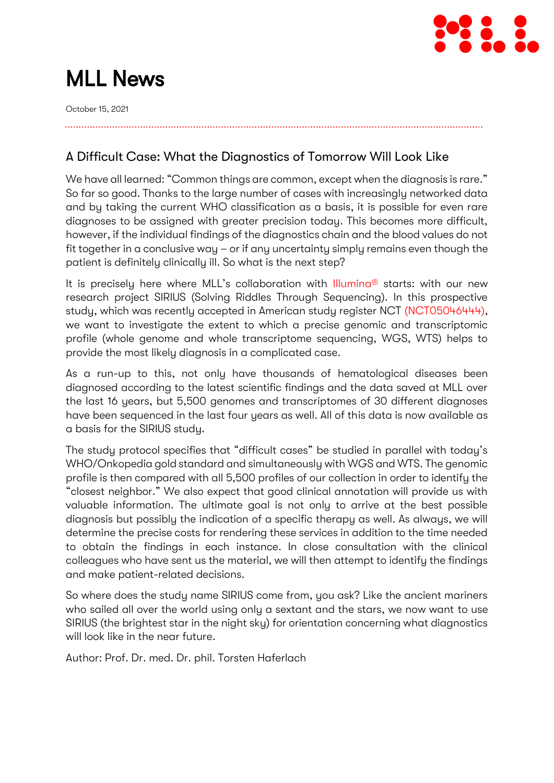

# MLL News

October 15, 2021

A Difficult Case: What the Diagnostics of Tomorrow Will Look Like

We have all learned: "Common things are common, except when the diagnosis is rare." So far so good. Thanks to the large number of cases with increasingly networked data and by taking the current WHO classification as a basis, it is possible for even rare diagnoses to be assigned with greater precision today. This becomes more difficult, however, if the individual findings of the diagnostics chain and the blood values do not fit together in a conclusive way – or if any uncertainty simply remains even though the patient is definitely clinically ill. So what is the next step?

It is precisely here where MLL's collaboration with Illumina<sup>®</sup> starts: with our new research project SIRIUS (Solving Riddles Through Sequencing). In this prospective study, which was recently accepted in American study register NCT [\(NCT05046444\),](https://clinicaltrials.gov/ct2/show/NCT05046444) we want to investigate the extent to which a precise genomic and transcriptomic profile (whole genome and whole transcriptome sequencing, WGS, WTS) helps to provide the most likely diagnosis in a complicated case.

As a run-up to this, not only have thousands of hematological diseases been diagnosed according to the latest scientific findings and the data saved at MLL over the last 16 years, but 5,500 genomes and transcriptomes of 30 different diagnoses have been sequenced in the last four years as well. All of this data is now available as a basis for the SIRIUS study.

The study protocol specifies that "difficult cases" be studied in parallel with today's WHO/Onkopedia gold standard and simultaneously with WGS and WTS. The genomic profile is then compared with all 5,500 profiles of our collection in order to identify the "closest neighbor." We also expect that good clinical annotation will provide us with valuable information. The ultimate goal is not only to arrive at the best possible diagnosis but possibly the indication of a specific therapy as well. As always, we will determine the precise costs for rendering these services in addition to the time needed to obtain the findings in each instance. In close consultation with the clinical colleagues who have sent us the material, we will then attempt to identify the findings and make patient-related decisions.

So where does the study name SIRIUS come from, you ask? Like the ancient mariners who sailed all over the world using only a sextant and the stars, we now want to use SIRIUS (the brightest star in the night sky) for orientation concerning what diagnostics will look like in the near future.

Author: Prof. Dr. med. Dr. phil. Torsten Haferlach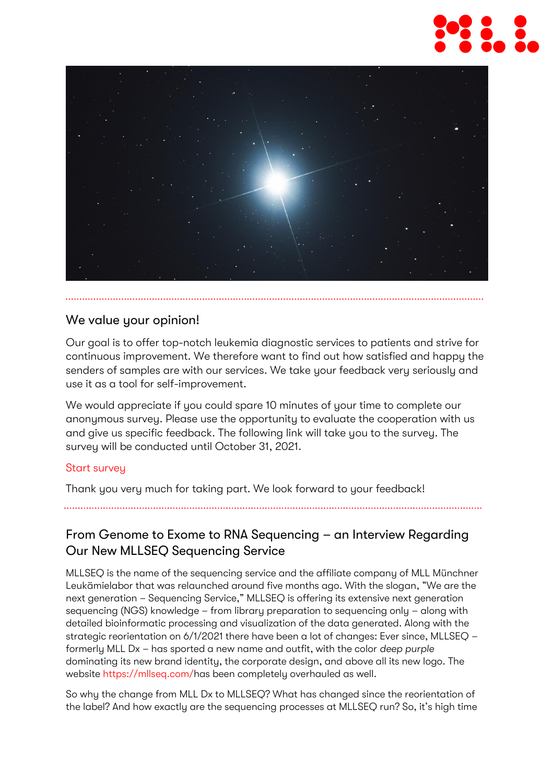



# We value your opinion!

Our goal is to offer top-notch leukemia diagnostic services to patients and strive for continuous improvement. We therefore want to find out how satisfied and happy the senders of samples are with our services. We take your feedback very seriously and use it as a tool for self-improvement.

We would appreciate if you could spare 10 minutes of your time to complete our anonymous survey. Please use the opportunity to evaluate the cooperation with us and give us specific feedback. The following link will take you to the survey. The survey will be conducted until October 31, 2021.

# [Start survey](https://ntgt.de/ra/s.aspx?s=447615X95957420X67727)

Thank you very much for taking part. We look forward to your feedback!

From Genome to Exome to RNA Sequencing – an Interview Regarding Our New MLLSEQ Sequencing Service

MLLSEQ is the name of the sequencing service and the affiliate company of MLL Münchner Leukämielabor that was relaunched around five months ago. With the slogan, "We are the next generation – Sequencing Service," MLLSEQ is offering its extensive next generation sequencing (NGS) knowledge – from library preparation to sequencing only – along with detailed bioinformatic processing and visualization of the data generated. Along with the strategic reorientation on 6/1/2021 there have been a lot of changes: Ever since, MLLSEQ – formerly MLL Dx – has sported a new name and outfit, with the color *deep purple* dominating its new brand identity, the corporate design, and above all its new logo. The website [https://mllseq.com/h](https://mllseq.com/)as been completely overhauled as well.

So why the change from MLL Dx to MLLSEQ? What has changed since the reorientation of the label? And how exactly are the sequencing processes at MLLSEQ run? So, it's high time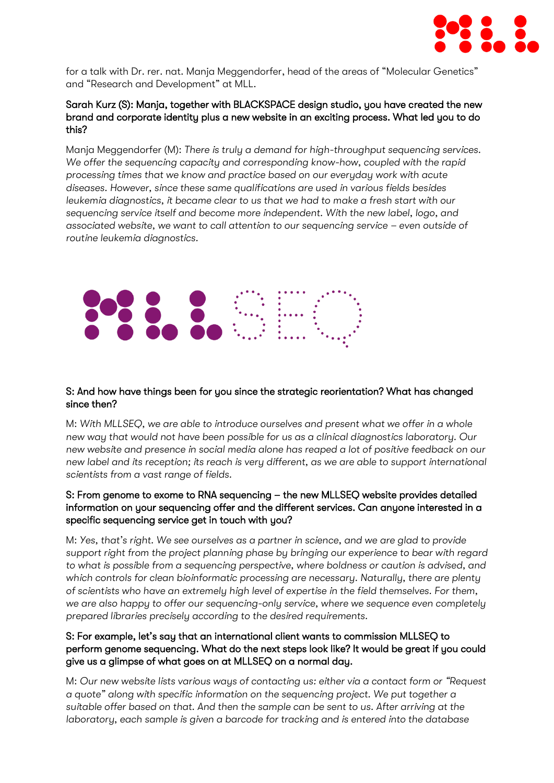

for a talk with Dr. rer. nat. Manja Meggendorfer, head of the areas of "Molecular Genetics" and "Research and Development" at MLL.

#### Sarah Kurz (S): Manja, together with BLACKSPACE design studio, you have created the new brand and corporate identity plus a new website in an exciting process. What led you to do this?

Manja Meggendorfer (M): *There is truly a demand for high-throughput sequencing services.*  We offer the sequencing capacity and corresponding know-how, coupled with the rapid *processing times that we know and practice based on our everyday work with acute diseases. However, since these same qualifications are used in various fields besides leukemia diagnostics, it became clear to us that we had to make a fresh start with our sequencing service itself and become more independent. With the new label, logo, and associated website, we want to call attention to our sequencing service – even outside of routine leukemia diagnostics.* 



#### S: And how have things been for you since the strategic reorientation? What has changed since then?

M: *With MLLSEQ, we are able to introduce ourselves and present what we offer in a whole new way that would not have been possible for us as a clinical diagnostics laboratory. Our new website and presence in social media alone has reaped a lot of positive feedback on our new label and its reception; its reach is very different, as we are able to support international scientists from a vast range of fields.* 

#### S: From genome to exome to RNA sequencing – the new MLLSEQ website provides detailed information on your sequencing offer and the different services. Can anyone interested in a specific sequencing service get in touch with you?

M: *Yes, that's right. We see ourselves as a partner in science, and we are glad to provide support right from the project planning phase by bringing our experience to bear with regard to what is possible from a sequencing perspective, where boldness or caution is advised, and which controls for clean bioinformatic processing are necessary. Naturally, there are plenty of scientists who have an extremely high level of expertise in the field themselves. For them, we are also happy to offer our sequencing-only service, where we sequence even completely prepared libraries precisely according to the desired requirements.* 

## S: For example, let's say that an international client wants to commission MLLSEQ to perform genome sequencing. What do the next steps look like? It would be great if you could give us a glimpse of what goes on at MLLSEQ on a normal day.

M: *Our new website lists various ways of contacting us: either via a contact form or "Request a quote" along with specific information on the sequencing project. We put together a suitable offer based on that. And then the sample can be sent to us. After arriving at the laboratory, each sample is given a barcode for tracking and is entered into the database*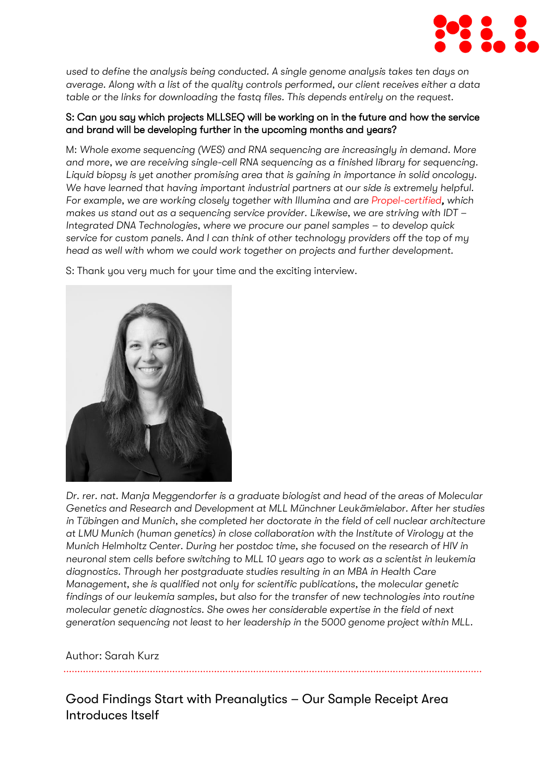

*used to define the analysis being conducted. A single genome analysis takes ten days on average. Along with a list of the quality controls performed, our client receives either a data table or the links for downloading the fastq files. This depends entirely on the request.* 

## S: Can you say which projects MLLSEQ will be working on in the future and how the service and brand will be developing further in the upcoming months and years?

M: *Whole exome sequencing (WES) and RNA sequencing are increasingly in demand. More and more, we are receiving single-cell RNA sequencing as a finished library for sequencing. Liquid biopsy is yet another promising area that is gaining in importance in solid oncology. We have learned that having important industrial partners at our side is extremely helpful. For example, we are working closely together with Illumina and are [Propel-certified,](https://emea.illumina.com/services/service-partners-and-programs/propel-certified-labs.html) which makes us stand out as a sequencing service provider. Likewise, we are striving with IDT – Integrated DNA Technologies, where we procure our panel samples - to develop quick service for custom panels. And I can think of other technology providers off the top of my head as well with whom we could work together on projects and further development.* 

S: Thank you very much for your time and the exciting interview.



*Dr. rer. nat. Manja Meggendorfer is a graduate biologist and head of the areas of Molecular Genetics and Research and Development at MLL Münchner Leukämielabor. After her studies in Tübingen and Munich, she completed her doctorate in the field of cell nuclear architecture at LMU Munich (human genetics) in close collaboration with the Institute of Virology at the Munich Helmholtz Center. During her postdoc time, she focused on the research of HIV in neuronal stem cells before switching to MLL 10 years ago to work as a scientist in leukemia diagnostics. Through her postgraduate studies resulting in an MBA in Health Care Management, she is qualified not only for scientific publications, the molecular genetic findings of our leukemia samples, but also for the transfer of new technologies into routine molecular genetic diagnostics. She owes her considerable expertise in the field of next generation sequencing not least to her leadership in the 5000 genome project within MLL.*

# Author: Sarah Kurz

Good Findings Start with Preanalytics – Our Sample Receipt Area Introduces Itself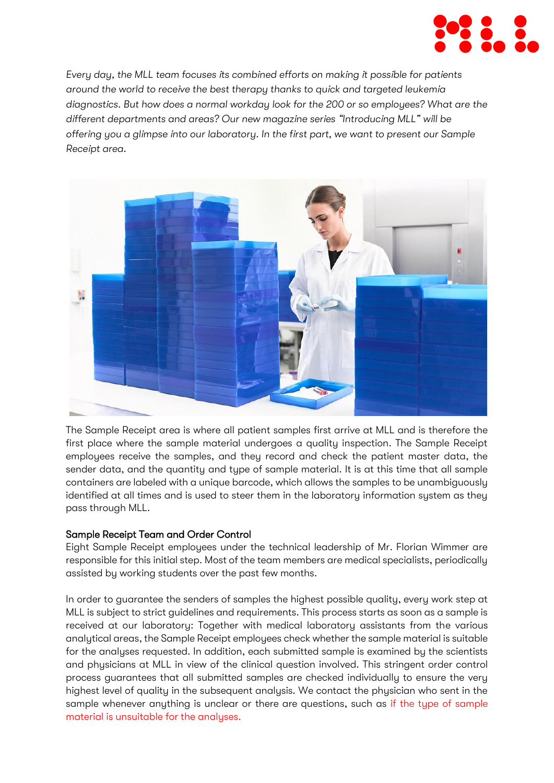

*Every day, the MLL team focuses its combined efforts on making it possible for patients around the world to receive the best therapy thanks to quick and targeted leukemia diagnostics. But how does a normal workday look for the 200 or so employees? What are the different departments and areas? Our new magazine series "Introducing MLL" will be offering you a glimpse into our laboratory. In the first part, we want to present our Sample Receipt area.*



The Sample Receipt area is where all patient samples first arrive at MLL and is therefore the first place where the sample material undergoes a quality inspection. The Sample Receipt employees receive the samples, and they record and check the patient master data, the sender data, and the quantity and type of sample material. It is at this time that all sample containers are labeled with a unique barcode, which allows the samples to be unambiguously identified at all times and is used to steer them in the laboratory information system as they pass through MLL.

# Sample Receipt Team and Order Control

Eight Sample Receipt employees under the technical leadership of Mr. Florian Wimmer are responsible for this initial step. Most of the team members are medical specialists, periodically assisted by working students over the past few months.

In order to guarantee the senders of samples the highest possible quality, every work step at MLL is subject to strict guidelines and requirements. This process starts as soon as a sample is received at our laboratory: Together with medical laboratory assistants from the various analytical areas, the Sample Receipt employees check whether the sample material is suitable for the analyses requested. In addition, each submitted sample is examined by the scientists and physicians at MLL in view of the clinical question involved. This stringent order control process guarantees that all submitted samples are checked individually to ensure the very highest level of quality in the subsequent analysis. We contact the physician who sent in the sample whenever anything is unclear or there are questions, such as [if the type of sample](https://www.mll.com/aktuelles/magazin/mll-aktuell/in-eigener-sache-optimierung-der-servicequalitaet.html)  [material is unsuitable for the analyses.](https://www.mll.com/aktuelles/magazin/mll-aktuell/in-eigener-sache-optimierung-der-servicequalitaet.html)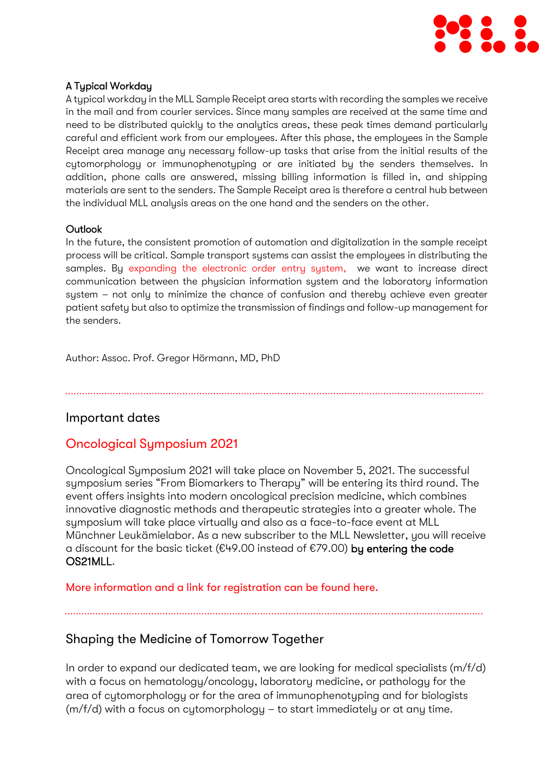

# A Typical Workday

A typical workday in the MLL Sample Receipt area starts with recording the samples we receive in the mail and from courier services. Since many samples are received at the same time and need to be distributed quickly to the analytics areas, these peak times demand particularly careful and efficient work from our employees. After this phase, the employees in the Sample Receipt area manage any necessary follow-up tasks that arise from the initial results of the cytomorphology or immunophenotyping or are initiated by the senders themselves. In addition, phone calls are answered, missing billing information is filled in, and shipping materials are sent to the senders. The Sample Receipt area is therefore a central hub between the individual MLL analysis areas on the one hand and the senders on the other.

#### **Outlook**

In the future, the consistent promotion of automation and digitalization in the sample receipt process will be critical. Sample transport systems can assist the employees in distributing the samples. By [expanding the electronic order entry system,](https://www.mll.com/aktuelles/magazin/mll-aktuell/muenchner-leukaemielabor-entwickelt-digitale-order-entry-plattform.html) we want to increase direct communication between the physician information system and the laboratory information sustem - not only to minimize the chance of confusion and thereby achieve even greater patient safety but also to optimize the transmission of findings and follow-up management for the senders.

Author: Assoc. Prof. Gregor Hörmann, MD, PhD

# Important dates

# Oncological Symposium 2021

Oncological Symposium 2021 will take place on November 5, 2021. The successful symposium series "From Biomarkers to Therapy" will be entering its third round. The event offers insights into modern oncological precision medicine, which combines innovative diagnostic methods and therapeutic strategies into a greater whole. The symposium will take place virtually and also as a face-to-face event at MLL Münchner Leukämielabor. As a new subscriber to the MLL Newsletter, you will receive a discount for the basic ticket ( $E49.00$  instead of  $E79.00$ ) by entering the code OS21MLL.

[More information and a link for registration can be found here.](https://www.mll.com/en/news/event/translate-to-english-tag-der-offenen-tuer.html)

Shaping the Medicine of Tomorrow Together

In order to expand our dedicated team, we are looking for medical specialists (m/f/d) with a focus on hematology/oncology, laboratory medicine, or pathology for the area of cytomorphology or for the area of immunophenotyping and for biologists  $(m/f/d)$  with a focus on cytomorphology – to start immediately or at any time.